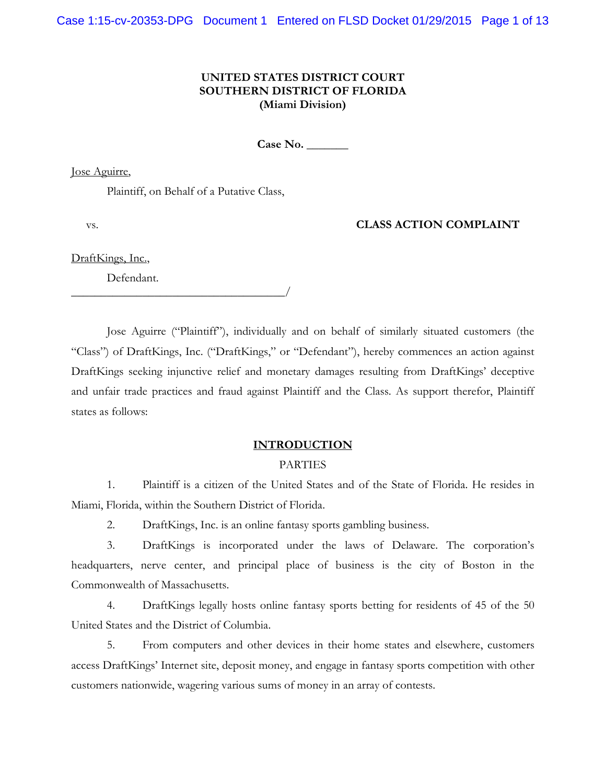## **UNITED STATES DISTRICT COURT SOUTHERN DISTRICT OF FLORIDA (Miami Division)**

**Case No. \_\_\_\_\_\_\_**

Jose Aguirre,

Plaintiff, on Behalf of a Putative Class,

vs. **CLASS ACTION COMPLAINT**

DraftKings, Inc.,

Defendant.

\_\_\_\_\_\_\_\_\_\_\_\_\_\_\_\_\_\_\_\_\_\_\_\_\_\_\_\_\_\_\_\_\_\_\_\_/

Jose Aguirre ("Plaintiff"), individually and on behalf of similarly situated customers (the "Class") of DraftKings, Inc. ("DraftKings," or "Defendant"), hereby commences an action against DraftKings seeking injunctive relief and monetary damages resulting from DraftKings' deceptive and unfair trade practices and fraud against Plaintiff and the Class. As support therefor, Plaintiff states as follows:

### **INTRODUCTION**

#### PARTIES

1. Plaintiff is a citizen of the United States and of the State of Florida. He resides in Miami, Florida, within the Southern District of Florida.

2. DraftKings, Inc. is an online fantasy sports gambling business.

3. DraftKings is incorporated under the laws of Delaware. The corporation's headquarters, nerve center, and principal place of business is the city of Boston in the Commonwealth of Massachusetts.

4. DraftKings legally hosts online fantasy sports betting for residents of 45 of the 50 United States and the District of Columbia.

5. From computers and other devices in their home states and elsewhere, customers access DraftKings' Internet site, deposit money, and engage in fantasy sports competition with other customers nationwide, wagering various sums of money in an array of contests.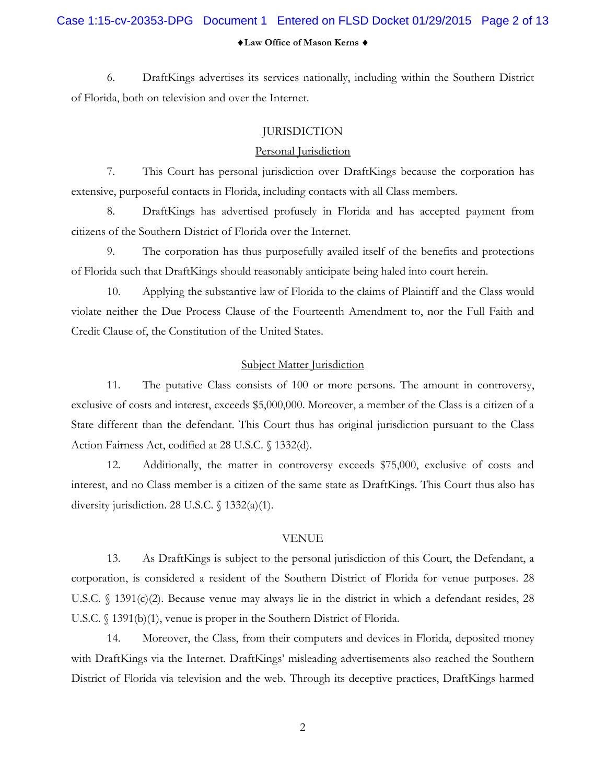# Case 1:15-cv-20353-DPG Document 1 Entered on FLSD Docket 01/29/2015 Page 2 of 13

**Law Office of Mason Kerns**

6. DraftKings advertises its services nationally, including within the Southern District of Florida, both on television and over the Internet.

#### **JURISDICTION**

#### Personal Jurisdiction

7. This Court has personal jurisdiction over DraftKings because the corporation has extensive, purposeful contacts in Florida, including contacts with all Class members.

8. DraftKings has advertised profusely in Florida and has accepted payment from citizens of the Southern District of Florida over the Internet.

9. The corporation has thus purposefully availed itself of the benefits and protections of Florida such that DraftKings should reasonably anticipate being haled into court herein.

10. Applying the substantive law of Florida to the claims of Plaintiff and the Class would violate neither the Due Process Clause of the Fourteenth Amendment to, nor the Full Faith and Credit Clause of, the Constitution of the United States.

## Subject Matter Jurisdiction

11. The putative Class consists of 100 or more persons. The amount in controversy, exclusive of costs and interest, exceeds \$5,000,000. Moreover, a member of the Class is a citizen of a State different than the defendant. This Court thus has original jurisdiction pursuant to the Class Action Fairness Act, codified at 28 U.S.C. § 1332(d).

12. Additionally, the matter in controversy exceeds \$75,000, exclusive of costs and interest, and no Class member is a citizen of the same state as DraftKings. This Court thus also has diversity jurisdiction. 28 U.S.C. § 1332(a)(1).

#### VENUE

13. As DraftKings is subject to the personal jurisdiction of this Court, the Defendant, a corporation, is considered a resident of the Southern District of Florida for venue purposes. 28 U.S.C. § 1391(c)(2). Because venue may always lie in the district in which a defendant resides, 28 U.S.C. § 1391(b)(1), venue is proper in the Southern District of Florida.

14. Moreover, the Class, from their computers and devices in Florida, deposited money with DraftKings via the Internet. DraftKings' misleading advertisements also reached the Southern District of Florida via television and the web. Through its deceptive practices, DraftKings harmed

2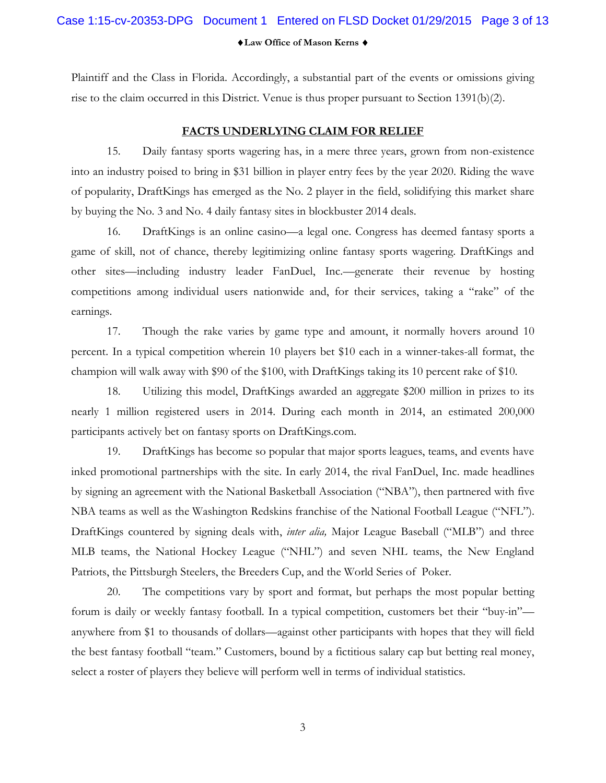# Case 1:15-cv-20353-DPG Document 1 Entered on FLSD Docket 01/29/2015 Page 3 of 13

**Law Office of Mason Kerns**

Plaintiff and the Class in Florida. Accordingly, a substantial part of the events or omissions giving rise to the claim occurred in this District. Venue is thus proper pursuant to Section 1391(b)(2).

#### **FACTS UNDERLYING CLAIM FOR RELIEF**

15. Daily fantasy sports wagering has, in a mere three years, grown from non-existence into an industry poised to bring in \$31 billion in player entry fees by the year 2020. Riding the wave of popularity, DraftKings has emerged as the No. 2 player in the field, solidifying this market share by buying the No. 3 and No. 4 daily fantasy sites in blockbuster 2014 deals.

16. DraftKings is an online casino—a legal one. Congress has deemed fantasy sports a game of skill, not of chance, thereby legitimizing online fantasy sports wagering. DraftKings and other sites—including industry leader FanDuel, Inc.—generate their revenue by hosting competitions among individual users nationwide and, for their services, taking a "rake" of the earnings.

17. Though the rake varies by game type and amount, it normally hovers around 10 percent. In a typical competition wherein 10 players bet \$10 each in a winner-takes-all format, the champion will walk away with \$90 of the \$100, with DraftKings taking its 10 percent rake of \$10.

18. Utilizing this model, DraftKings awarded an aggregate \$200 million in prizes to its nearly 1 million registered users in 2014. During each month in 2014, an estimated 200,000 participants actively bet on fantasy sports on DraftKings.com.

19. DraftKings has become so popular that major sports leagues, teams, and events have inked promotional partnerships with the site. In early 2014, the rival FanDuel, Inc. made headlines by signing an agreement with the National Basketball Association ("NBA"), then partnered with five NBA teams as well as the Washington Redskins franchise of the National Football League ("NFL"). DraftKings countered by signing deals with, *inter alia,* Major League Baseball ("MLB") and three MLB teams, the National Hockey League ("NHL") and seven NHL teams, the New England Patriots, the Pittsburgh Steelers, the Breeders Cup, and the World Series of Poker.

20. The competitions vary by sport and format, but perhaps the most popular betting forum is daily or weekly fantasy football. In a typical competition, customers bet their "buy-in" anywhere from \$1 to thousands of dollars—against other participants with hopes that they will field the best fantasy football "team." Customers, bound by a fictitious salary cap but betting real money, select a roster of players they believe will perform well in terms of individual statistics.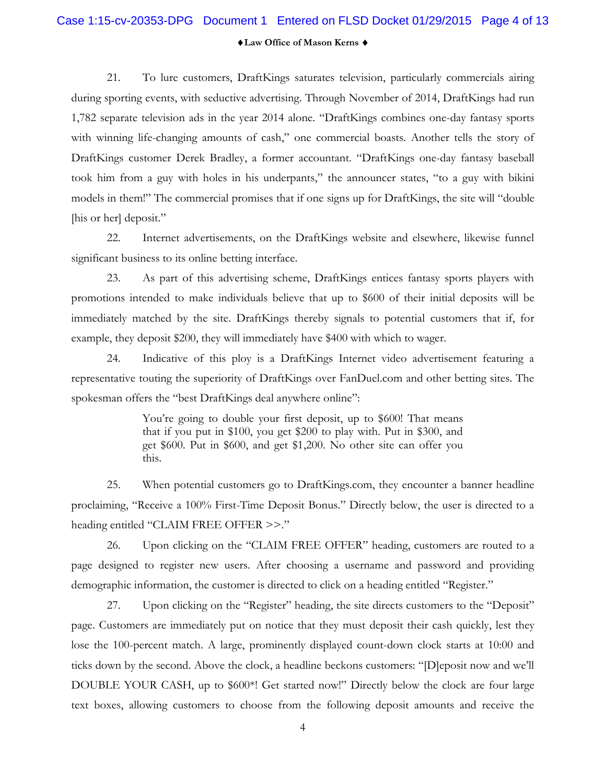# **Law Office of Mason Kerns** Case 1:15-cv-20353-DPG Document 1 Entered on FLSD Docket 01/29/2015 Page 4 of 13

21. To lure customers, DraftKings saturates television, particularly commercials airing during sporting events, with seductive advertising. Through November of 2014, DraftKings had run 1,782 separate television ads in the year 2014 alone. "DraftKings combines one-day fantasy sports with winning life-changing amounts of cash," one commercial boasts. Another tells the story of DraftKings customer Derek Bradley, a former accountant. "DraftKings one-day fantasy baseball took him from a guy with holes in his underpants," the announcer states, "to a guy with bikini models in them!" The commercial promises that if one signs up for DraftKings, the site will "double [his or her] deposit."

22. Internet advertisements, on the DraftKings website and elsewhere, likewise funnel significant business to its online betting interface.

23. As part of this advertising scheme, DraftKings entices fantasy sports players with promotions intended to make individuals believe that up to \$600 of their initial deposits will be immediately matched by the site. DraftKings thereby signals to potential customers that if, for example, they deposit \$200, they will immediately have \$400 with which to wager.

24. Indicative of this ploy is a DraftKings Internet video advertisement featuring a representative touting the superiority of DraftKings over FanDuel.com and other betting sites. The spokesman offers the "best DraftKings deal anywhere online":

> You're going to double your first deposit, up to \$600! That means that if you put in \$100, you get \$200 to play with. Put in \$300, and get \$600. Put in \$600, and get \$1,200. No other site can offer you this.

25. When potential customers go to DraftKings.com, they encounter a banner headline proclaiming, "Receive a 100% First-Time Deposit Bonus." Directly below, the user is directed to a heading entitled "CLAIM FREE OFFER >>."

26. Upon clicking on the "CLAIM FREE OFFER" heading, customers are routed to a page designed to register new users. After choosing a username and password and providing demographic information, the customer is directed to click on a heading entitled "Register."

27. Upon clicking on the "Register" heading, the site directs customers to the "Deposit" page. Customers are immediately put on notice that they must deposit their cash quickly, lest they lose the 100-percent match. A large, prominently displayed count-down clock starts at 10:00 and ticks down by the second. Above the clock, a headline beckons customers: "[D]eposit now and we'll DOUBLE YOUR CASH, up to \$600\*! Get started now!" Directly below the clock are four large text boxes, allowing customers to choose from the following deposit amounts and receive the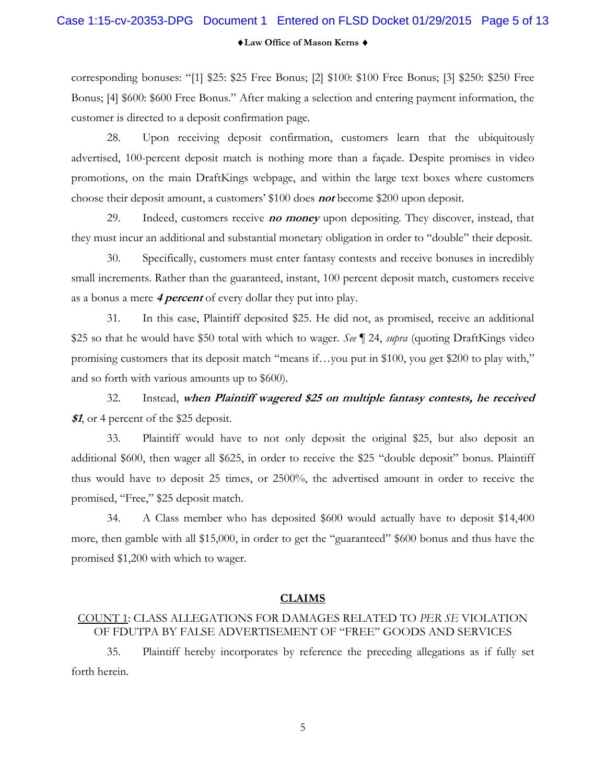# **Law Office of Mason Kerns** Case 1:15-cv-20353-DPG Document 1 Entered on FLSD Docket 01/29/2015 Page 5 of 13

corresponding bonuses: "[1] \$25: \$25 Free Bonus; [2] \$100: \$100 Free Bonus; [3] \$250: \$250 Free Bonus; [4] \$600: \$600 Free Bonus." After making a selection and entering payment information, the customer is directed to a deposit confirmation page.

28. Upon receiving deposit confirmation, customers learn that the ubiquitously advertised, 100-percent deposit match is nothing more than a façade. Despite promises in video promotions, on the main DraftKings webpage, and within the large text boxes where customers choose their deposit amount, a customers' \$100 does **not** become \$200 upon deposit.

29. Indeed, customers receive **no money** upon depositing. They discover, instead, that they must incur an additional and substantial monetary obligation in order to "double" their deposit.

30. Specifically, customers must enter fantasy contests and receive bonuses in incredibly small increments. Rather than the guaranteed, instant, 100 percent deposit match, customers receive as a bonus a mere **4 percent** of every dollar they put into play.

31. In this case, Plaintiff deposited \$25. He did not, as promised, receive an additional \$25 so that he would have \$50 total with which to wager. *See* ¶ 24, *supra* (quoting DraftKings video promising customers that its deposit match "means if…you put in \$100, you get \$200 to play with," and so forth with various amounts up to \$600).

32. Instead, **when Plaintiff wagered \$25 on multiple fantasy contests, he received \$1**, or 4 percent of the \$25 deposit.

33. Plaintiff would have to not only deposit the original \$25, but also deposit an additional \$600, then wager all \$625, in order to receive the \$25 "double deposit" bonus. Plaintiff thus would have to deposit 25 times, or 2500%, the advertised amount in order to receive the promised, "Free," \$25 deposit match.

34. A Class member who has deposited \$600 would actually have to deposit \$14,400 more, then gamble with all \$15,000, in order to get the "guaranteed" \$600 bonus and thus have the promised \$1,200 with which to wager.

#### **CLAIMS**

## COUNT 1: CLASS ALLEGATIONS FOR DAMAGES RELATED TO *PER SE* VIOLATION OF FDUTPA BY FALSE ADVERTISEMENT OF "FREE" GOODS AND SERVICES

35. Plaintiff hereby incorporates by reference the preceding allegations as if fully set forth herein.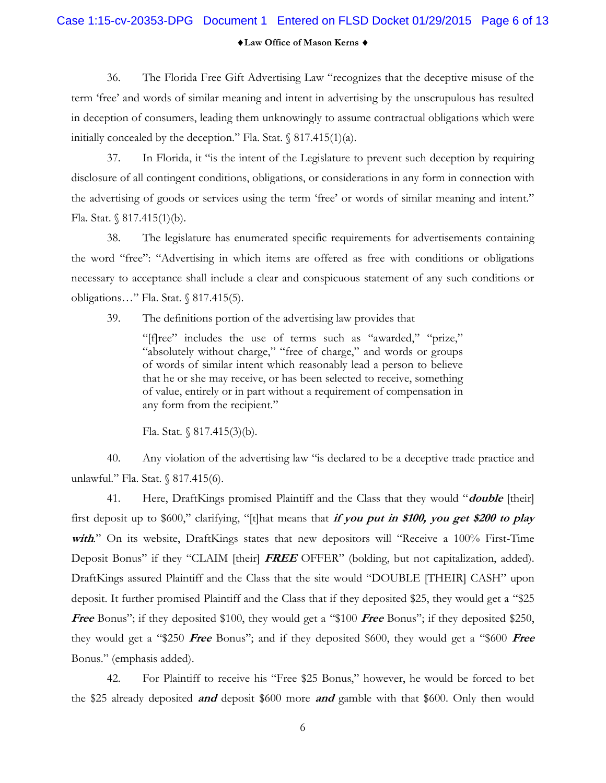# **Law Office of Mason Kerns** Case 1:15-cv-20353-DPG Document 1 Entered on FLSD Docket 01/29/2015 Page 6 of 13

36. The Florida Free Gift Advertising Law "recognizes that the deceptive misuse of the term 'free' and words of similar meaning and intent in advertising by the unscrupulous has resulted in deception of consumers, leading them unknowingly to assume contractual obligations which were initially concealed by the deception." Fla. Stat.  $\frac{817.415(1)}{a}$ .

37. In Florida, it "is the intent of the Legislature to prevent such deception by requiring disclosure of all contingent conditions, obligations, or considerations in any form in connection with the advertising of goods or services using the term 'free' or words of similar meaning and intent." Fla. Stat.  $\sqrt{817.415(1)}$ (b).

38. The legislature has enumerated specific requirements for advertisements containing the word "free": "Advertising in which items are offered as free with conditions or obligations necessary to acceptance shall include a clear and conspicuous statement of any such conditions or obligations…" Fla. Stat. § 817.415(5).

39. The definitions portion of the advertising law provides that

"[f]ree" includes the use of terms such as "awarded," "prize," "absolutely without charge," "free of charge," and words or groups of words of similar intent which reasonably lead a person to believe that he or she may receive, or has been selected to receive, something of value, entirely or in part without a requirement of compensation in any form from the recipient."

Fla. Stat.  $\sqrt{817.415(3)}$ (b).

40. Any violation of the advertising law "is declared to be a deceptive trade practice and unlawful." Fla. Stat. § 817.415(6).

41. Here, DraftKings promised Plaintiff and the Class that they would "**double** [their] first deposit up to \$600," clarifying, "[t]hat means that **if you put in \$100, you get \$200 to play**  with." On its website, DraftKings states that new depositors will "Receive a 100% First-Time Deposit Bonus" if they "CLAIM [their] **FREE** OFFER" (bolding, but not capitalization, added). DraftKings assured Plaintiff and the Class that the site would "DOUBLE [THEIR] CASH" upon deposit. It further promised Plaintiff and the Class that if they deposited \$25, they would get a "\$25 **Free** Bonus"; if they deposited \$100, they would get a "\$100 **Free** Bonus"; if they deposited \$250, they would get a "\$250 **Free** Bonus"; and if they deposited \$600, they would get a "\$600 **Free** Bonus." (emphasis added).

42. For Plaintiff to receive his "Free \$25 Bonus," however, he would be forced to bet the \$25 already deposited **and** deposit \$600 more **and** gamble with that \$600. Only then would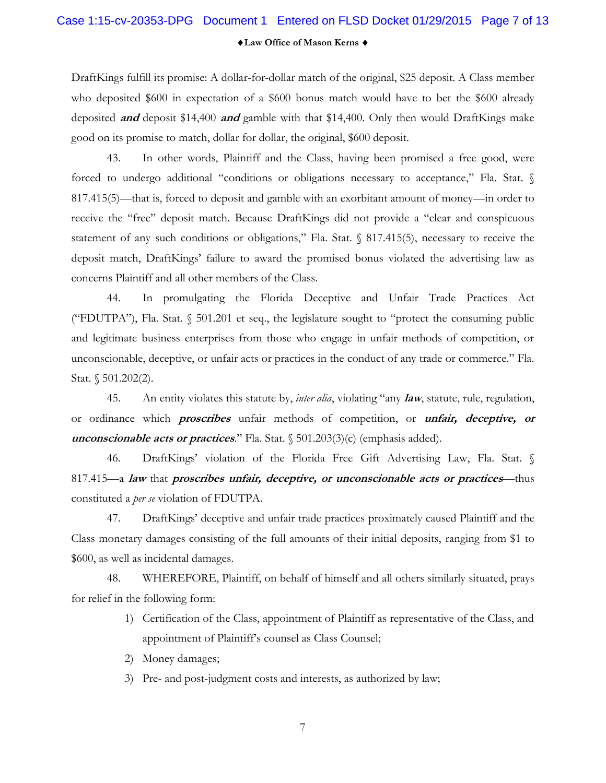# Case 1:15-cv-20353-DPG Document 1 Entered on FLSD Docket 01/29/2015 Page 7 of 13

**Law Office of Mason Kerns**

DraftKings fulfill its promise: A dollar-for-dollar match of the original, \$25 deposit. A Class member who deposited \$600 in expectation of a \$600 bonus match would have to bet the \$600 already deposited **and** deposit \$14,400 **and** gamble with that \$14,400. Only then would DraftKings make good on its promise to match, dollar for dollar, the original, \$600 deposit.

43. In other words, Plaintiff and the Class, having been promised a free good, were forced to undergo additional "conditions or obligations necessary to acceptance," Fla. Stat.  $\sqrt{ }$ 817.415(5)—that is, forced to deposit and gamble with an exorbitant amount of money—in order to receive the "free" deposit match. Because DraftKings did not provide a "clear and conspicuous statement of any such conditions or obligations," Fla. Stat. § 817.415(5), necessary to receive the deposit match, DraftKings' failure to award the promised bonus violated the advertising law as concerns Plaintiff and all other members of the Class.

44. In promulgating the Florida Deceptive and Unfair Trade Practices Act ("FDUTPA"), Fla. Stat. § 501.201 et seq., the legislature sought to "protect the consuming public and legitimate business enterprises from those who engage in unfair methods of competition, or unconscionable, deceptive, or unfair acts or practices in the conduct of any trade or commerce." Fla. Stat. § 501.202(2).

45. An entity violates this statute by, *inter alia*, violating "any **law**, statute, rule, regulation, or ordinance which **proscribes** unfair methods of competition, or **unfair, deceptive, or unconscionable acts or practices**." Fla. Stat. § 501.203(3)(c) (emphasis added).

46. DraftKings' violation of the Florida Free Gift Advertising Law, Fla. Stat. § 817.415—a **law** that **proscribes unfair, deceptive, or unconscionable acts or practices**—thus constituted a *per se* violation of FDUTPA.

47. DraftKings' deceptive and unfair trade practices proximately caused Plaintiff and the Class monetary damages consisting of the full amounts of their initial deposits, ranging from \$1 to \$600, as well as incidental damages.

48. WHEREFORE, Plaintiff, on behalf of himself and all others similarly situated, prays for relief in the following form:

- 1) Certification of the Class, appointment of Plaintiff as representative of the Class, and appointment of Plaintiff's counsel as Class Counsel;
- 2) Money damages;
- 3) Pre- and post-judgment costs and interests, as authorized by law;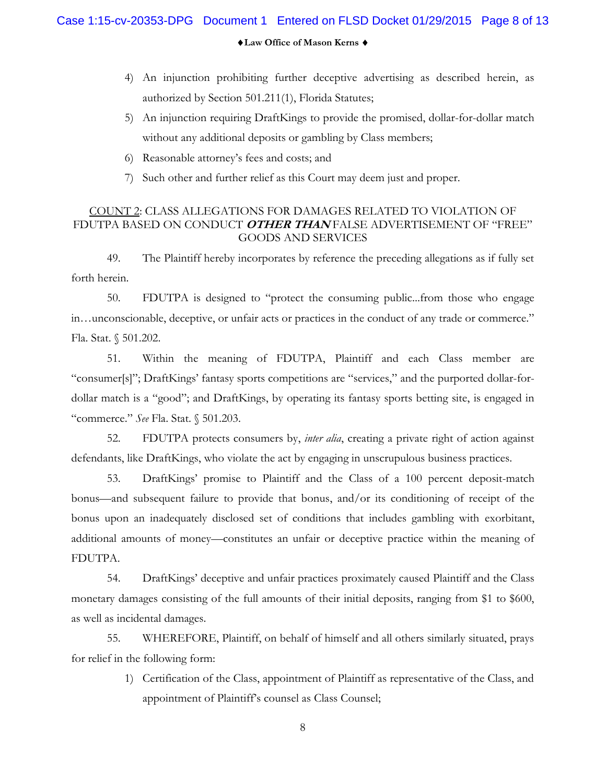**Law Office of Mason Kerns**

- 4) An injunction prohibiting further deceptive advertising as described herein, as authorized by Section 501.211(1), Florida Statutes;
- 5) An injunction requiring DraftKings to provide the promised, dollar-for-dollar match without any additional deposits or gambling by Class members;
- 6) Reasonable attorney's fees and costs; and
- 7) Such other and further relief as this Court may deem just and proper.

## COUNT 2: CLASS ALLEGATIONS FOR DAMAGES RELATED TO VIOLATION OF FDUTPA BASED ON CONDUCT **OTHER THAN** FALSE ADVERTISEMENT OF "FREE" GOODS AND SERVICES

49. The Plaintiff hereby incorporates by reference the preceding allegations as if fully set forth herein.

50. FDUTPA is designed to "protect the consuming public...from those who engage in…unconscionable, deceptive, or unfair acts or practices in the conduct of any trade or commerce." Fla. Stat. § 501.202.

51. Within the meaning of FDUTPA, Plaintiff and each Class member are "consumer[s]"; DraftKings' fantasy sports competitions are "services," and the purported dollar-fordollar match is a "good"; and DraftKings, by operating its fantasy sports betting site, is engaged in "commerce." *See* Fla. Stat. § 501.203.

52. FDUTPA protects consumers by, *inter alia*, creating a private right of action against defendants, like DraftKings, who violate the act by engaging in unscrupulous business practices.

53. DraftKings' promise to Plaintiff and the Class of a 100 percent deposit-match bonus—and subsequent failure to provide that bonus, and/or its conditioning of receipt of the bonus upon an inadequately disclosed set of conditions that includes gambling with exorbitant, additional amounts of money—constitutes an unfair or deceptive practice within the meaning of FDUTPA.

54. DraftKings' deceptive and unfair practices proximately caused Plaintiff and the Class monetary damages consisting of the full amounts of their initial deposits, ranging from \$1 to \$600, as well as incidental damages.

55. WHEREFORE, Plaintiff, on behalf of himself and all others similarly situated, prays for relief in the following form:

> 1) Certification of the Class, appointment of Plaintiff as representative of the Class, and appointment of Plaintiff's counsel as Class Counsel;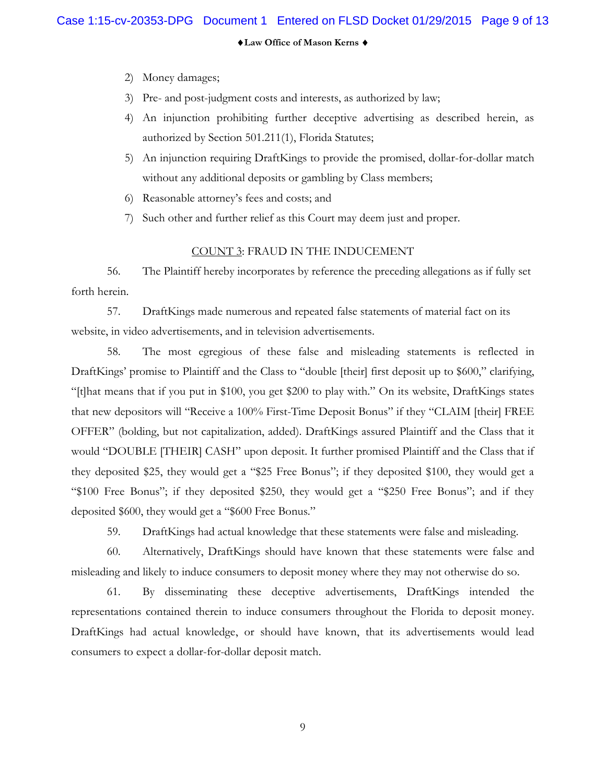**Law Office of Mason Kerns**

- 2) Money damages;
- 3) Pre- and post-judgment costs and interests, as authorized by law;
- 4) An injunction prohibiting further deceptive advertising as described herein, as authorized by Section 501.211(1), Florida Statutes;
- 5) An injunction requiring DraftKings to provide the promised, dollar-for-dollar match without any additional deposits or gambling by Class members;
- 6) Reasonable attorney's fees and costs; and
- 7) Such other and further relief as this Court may deem just and proper.

#### COUNT 3: FRAUD IN THE INDUCEMENT

56. The Plaintiff hereby incorporates by reference the preceding allegations as if fully set forth herein.

57. DraftKings made numerous and repeated false statements of material fact on its website, in video advertisements, and in television advertisements.

58. The most egregious of these false and misleading statements is reflected in DraftKings' promise to Plaintiff and the Class to "double [their] first deposit up to \$600," clarifying, "[t]hat means that if you put in \$100, you get \$200 to play with." On its website, DraftKings states that new depositors will "Receive a 100% First-Time Deposit Bonus" if they "CLAIM [their] FREE OFFER" (bolding, but not capitalization, added). DraftKings assured Plaintiff and the Class that it would "DOUBLE [THEIR] CASH" upon deposit. It further promised Plaintiff and the Class that if they deposited \$25, they would get a "\$25 Free Bonus"; if they deposited \$100, they would get a "\$100 Free Bonus"; if they deposited \$250, they would get a "\$250 Free Bonus"; and if they deposited \$600, they would get a "\$600 Free Bonus."

59. DraftKings had actual knowledge that these statements were false and misleading.

60. Alternatively, DraftKings should have known that these statements were false and misleading and likely to induce consumers to deposit money where they may not otherwise do so.

61. By disseminating these deceptive advertisements, DraftKings intended the representations contained therein to induce consumers throughout the Florida to deposit money. DraftKings had actual knowledge, or should have known, that its advertisements would lead consumers to expect a dollar-for-dollar deposit match.

9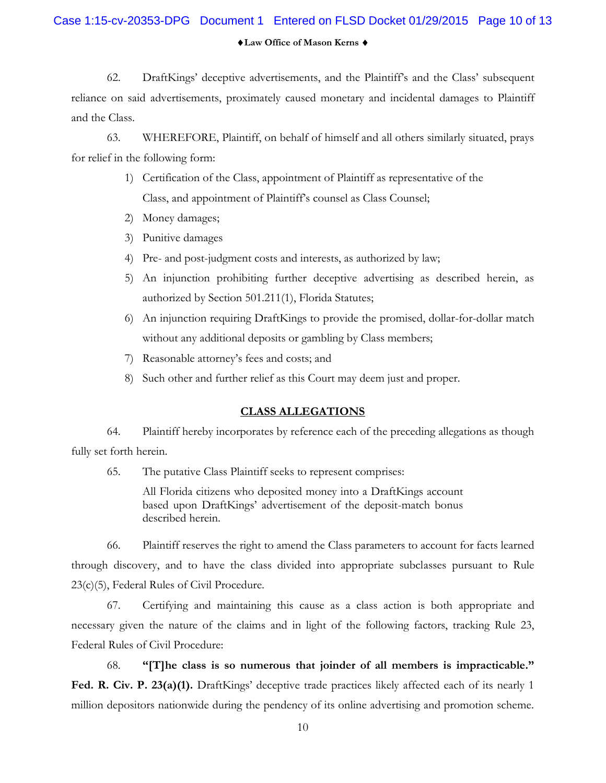# **Law Office of Mason Kerns** Case 1:15-cv-20353-DPG Document 1 Entered on FLSD Docket 01/29/2015 Page 10 of 13

62. DraftKings' deceptive advertisements, and the Plaintiff's and the Class' subsequent reliance on said advertisements, proximately caused monetary and incidental damages to Plaintiff and the Class.

63. WHEREFORE, Plaintiff, on behalf of himself and all others similarly situated, prays for relief in the following form:

- 1) Certification of the Class, appointment of Plaintiff as representative of the Class, and appointment of Plaintiff's counsel as Class Counsel;
- 2) Money damages;
- 3) Punitive damages
- 4) Pre- and post-judgment costs and interests, as authorized by law;
- 5) An injunction prohibiting further deceptive advertising as described herein, as authorized by Section 501.211(1), Florida Statutes;
- 6) An injunction requiring DraftKings to provide the promised, dollar-for-dollar match without any additional deposits or gambling by Class members;
- 7) Reasonable attorney's fees and costs; and
- 8) Such other and further relief as this Court may deem just and proper.

## **CLASS ALLEGATIONS**

64. Plaintiff hereby incorporates by reference each of the preceding allegations as though fully set forth herein.

65. The putative Class Plaintiff seeks to represent comprises:

All Florida citizens who deposited money into a DraftKings account based upon DraftKings' advertisement of the deposit-match bonus described herein.

66. Plaintiff reserves the right to amend the Class parameters to account for facts learned through discovery, and to have the class divided into appropriate subclasses pursuant to Rule 23(c)(5), Federal Rules of Civil Procedure.

67. Certifying and maintaining this cause as a class action is both appropriate and necessary given the nature of the claims and in light of the following factors, tracking Rule 23, Federal Rules of Civil Procedure:

68. **"[T]he class is so numerous that joinder of all members is impracticable."**  Fed. R. Civ. P. 23(a)(1). DraftKings' deceptive trade practices likely affected each of its nearly 1 million depositors nationwide during the pendency of its online advertising and promotion scheme.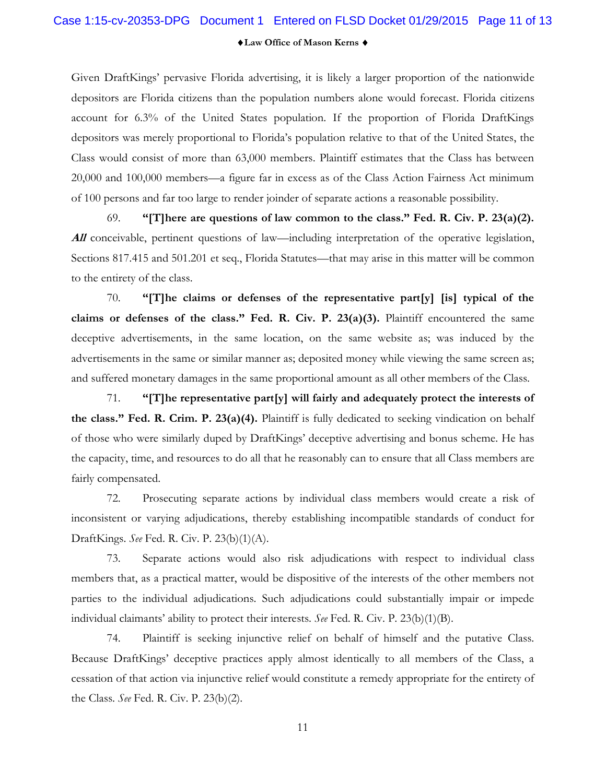#### Case 1:15-cv-20353-DPG Document 1 Entered on FLSD Docket 01/29/2015 Page 11 of 13

**Law Office of Mason Kerns**

Given DraftKings' pervasive Florida advertising, it is likely a larger proportion of the nationwide depositors are Florida citizens than the population numbers alone would forecast. Florida citizens account for 6.3% of the United States population. If the proportion of Florida DraftKings depositors was merely proportional to Florida's population relative to that of the United States, the Class would consist of more than 63,000 members. Plaintiff estimates that the Class has between 20,000 and 100,000 members—a figure far in excess as of the Class Action Fairness Act minimum of 100 persons and far too large to render joinder of separate actions a reasonable possibility.

69. **"[T]here are questions of law common to the class." Fed. R. Civ. P. 23(a)(2).**  All conceivable, pertinent questions of law—including interpretation of the operative legislation, Sections 817.415 and 501.201 et seq., Florida Statutes—that may arise in this matter will be common to the entirety of the class.

70. **"[T]he claims or defenses of the representative part[y] [is] typical of the claims or defenses of the class." Fed. R. Civ. P. 23(a)(3).** Plaintiff encountered the same deceptive advertisements, in the same location, on the same website as; was induced by the advertisements in the same or similar manner as; deposited money while viewing the same screen as; and suffered monetary damages in the same proportional amount as all other members of the Class.

71. **"[T]he representative part[y] will fairly and adequately protect the interests of the class." Fed. R. Crim. P. 23(a)(4).** Plaintiff is fully dedicated to seeking vindication on behalf of those who were similarly duped by DraftKings' deceptive advertising and bonus scheme. He has the capacity, time, and resources to do all that he reasonably can to ensure that all Class members are fairly compensated.

72. Prosecuting separate actions by individual class members would create a risk of inconsistent or varying adjudications, thereby establishing incompatible standards of conduct for DraftKings. *See* Fed. R. Civ. P. 23(b)(1)(A).

73. Separate actions would also risk adjudications with respect to individual class members that, as a practical matter, would be dispositive of the interests of the other members not parties to the individual adjudications. Such adjudications could substantially impair or impede individual claimants' ability to protect their interests. *See* Fed. R. Civ. P. 23(b)(1)(B).

74. Plaintiff is seeking injunctive relief on behalf of himself and the putative Class. Because DraftKings' deceptive practices apply almost identically to all members of the Class, a cessation of that action via injunctive relief would constitute a remedy appropriate for the entirety of the Class. *See* Fed. R. Civ. P. 23(b)(2).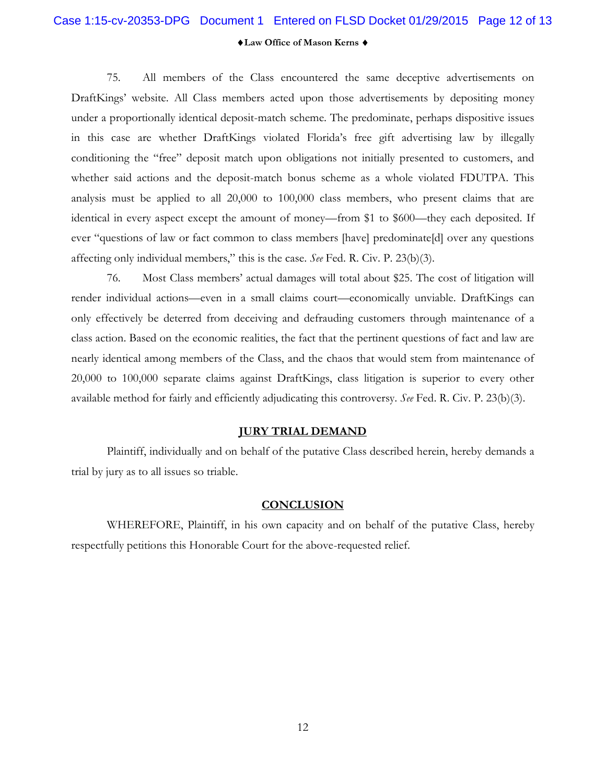## Case 1:15-cv-20353-DPG Document 1 Entered on FLSD Docket 01/29/2015 Page 12 of 13

**Law Office of Mason Kerns**

75. All members of the Class encountered the same deceptive advertisements on DraftKings' website. All Class members acted upon those advertisements by depositing money under a proportionally identical deposit-match scheme. The predominate, perhaps dispositive issues in this case are whether DraftKings violated Florida's free gift advertising law by illegally conditioning the "free" deposit match upon obligations not initially presented to customers, and whether said actions and the deposit-match bonus scheme as a whole violated FDUTPA. This analysis must be applied to all 20,000 to 100,000 class members, who present claims that are identical in every aspect except the amount of money—from \$1 to \$600—they each deposited. If ever "questions of law or fact common to class members [have] predominate[d] over any questions affecting only individual members," this is the case. *See* Fed. R. Civ. P. 23(b)(3).

76. Most Class members' actual damages will total about \$25. The cost of litigation will render individual actions—even in a small claims court—economically unviable. DraftKings can only effectively be deterred from deceiving and defrauding customers through maintenance of a class action. Based on the economic realities, the fact that the pertinent questions of fact and law are nearly identical among members of the Class, and the chaos that would stem from maintenance of 20,000 to 100,000 separate claims against DraftKings, class litigation is superior to every other available method for fairly and efficiently adjudicating this controversy. *See* Fed. R. Civ. P. 23(b)(3).

#### **JURY TRIAL DEMAND**

Plaintiff, individually and on behalf of the putative Class described herein, hereby demands a trial by jury as to all issues so triable.

#### **CONCLUSION**

WHEREFORE, Plaintiff, in his own capacity and on behalf of the putative Class, hereby respectfully petitions this Honorable Court for the above-requested relief.